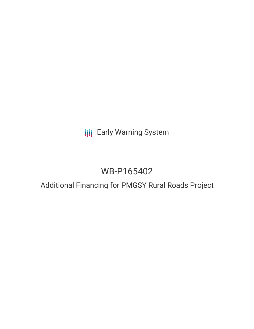# **III** Early Warning System

# WB-P165402

# Additional Financing for PMGSY Rural Roads Project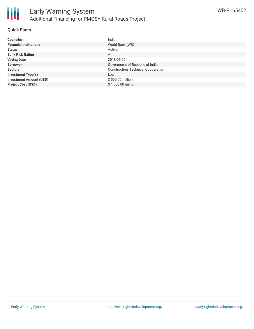

## **Quick Facts**

| <b>Countries</b>               | India                                      |
|--------------------------------|--------------------------------------------|
| <b>Financial Institutions</b>  | World Bank (WB)                            |
| <b>Status</b>                  | Active                                     |
| <b>Bank Risk Rating</b>        | A                                          |
| <b>Voting Date</b>             | 2018-05-25                                 |
| <b>Borrower</b>                | Government of Republic of India            |
| <b>Sectors</b>                 | <b>Construction, Technical Cooperation</b> |
| <b>Investment Type(s)</b>      | Loan                                       |
| <b>Investment Amount (USD)</b> | \$500.00 million                           |
| <b>Project Cost (USD)</b>      | \$1,000.00 million                         |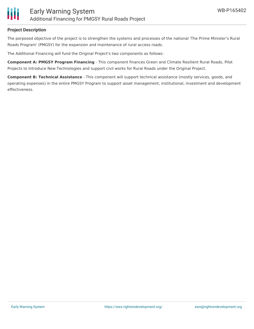

## **Project Description**

The porposed objective of the project is to strengthen the systems and processes of the national 'The Prime Minister's Rural Roads Program' (PMGSY) for the expansion and maintenance of rural access roads.

The Additional Financing will fund the Original Project's two components as follows:

**Component A: PMGSY Program Financing** - This component finances Green and Climate Resilient Rural Roads, Pilot Projects to Introduce New Technologies and support civil works for Rural Roads under the Original Project.

**Component B: Technical Assistance** - This component will support technical assistance (mostly services, goods, and operating expenses) in the entire PMGSY Program to support asset management, institutional, investment and development effectiveness.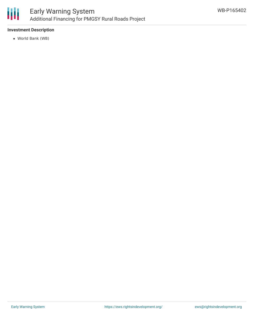

# **Investment Description**

World Bank (WB)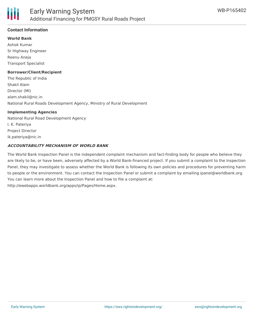

# **Contact Information**

#### **World Bank**

Ashok Kumar Sr Highway Engineer Reenu Aneja Transport Specialist

# **Borrower/Client/Recipient**

The Republic of India Shakil Alam Director (MI) alam.shakil@nic.in National Rural Roads Development Agency, Ministry of Rural Development

#### **Implementing Agencies**

National Rural Road Development Agency I. K. Pateriya Project Director ik.pateriya@nic.in

## **ACCOUNTABILITY MECHANISM OF WORLD BANK**

The World Bank Inspection Panel is the independent complaint mechanism and fact-finding body for people who believe they are likely to be, or have been, adversely affected by a World Bank-financed project. If you submit a complaint to the Inspection Panel, they may investigate to assess whether the World Bank is following its own policies and procedures for preventing harm to people or the environment. You can contact the Inspection Panel or submit a complaint by emailing ipanel@worldbank.org. You can learn more about the Inspection Panel and how to file a complaint at: http://ewebapps.worldbank.org/apps/ip/Pages/Home.aspx.